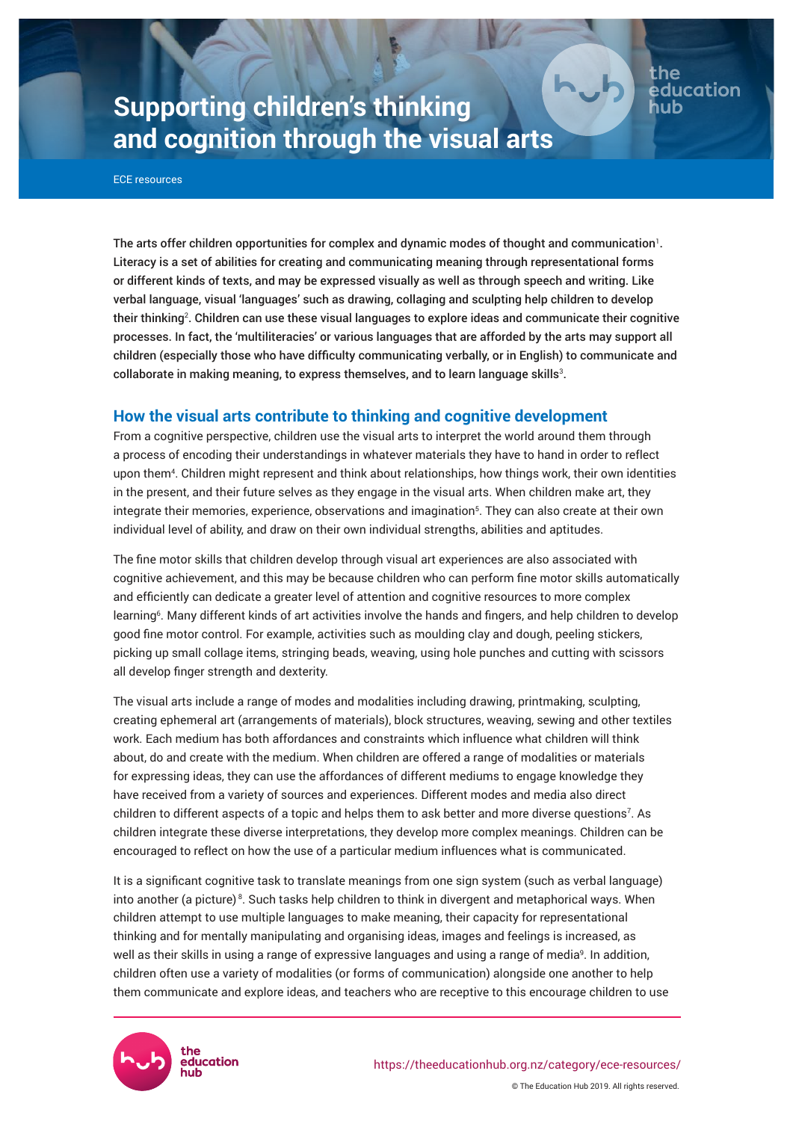# **Supporting children's thinking and cognition through the visual arts**

ECE resources

The arts offer children opportunities for complex and dynamic modes of thought and communication $^{\rm l}$  . Literacy is a set of abilities for creating and communicating meaning through representational forms or different kinds of texts, and may be expressed visually as well as through speech and writing. Like verbal language, visual 'languages' such as drawing, collaging and sculpting help children to develop their thinking². Children can use these visual languages to explore ideas and communicate their cognitive processes. In fact, the 'multiliteracies' or various languages that are afforded by the arts may support all children (especially those who have difficulty communicating verbally, or in English) to communicate and collaborate in making meaning, to express themselves, and to learn language skills $^3$ .

the

education

# **How the visual arts contribute to thinking and cognitive development**

From a cognitive perspective, children use the visual arts to interpret the world around them through a process of encoding their understandings in whatever materials they have to hand in order to reflect upon them<sup>4</sup> . Children might represent and think about relationships, how things work, their own identities in the present, and their future selves as they engage in the visual arts. When children make art, they integrate their memories, experience, observations and imagination<sup>5</sup>. They can also create at their own individual level of ability, and draw on their own individual strengths, abilities and aptitudes.

The fine motor skills that children develop through visual art experiences are also associated with cognitive achievement, and this may be because children who can perform fine motor skills automatically and efficiently can dedicate a greater level of attention and cognitive resources to more complex learning<sup>6</sup>. Many different kinds of art activities involve the hands and fingers, and help children to develop good fine motor control. For example, activities such as moulding clay and dough, peeling stickers, picking up small collage items, stringing beads, weaving, using hole punches and cutting with scissors all develop finger strength and dexterity.

The visual arts include a range of modes and modalities including drawing, printmaking, sculpting, creating ephemeral art (arrangements of materials), block structures, weaving, sewing and other textiles work. Each medium has both affordances and constraints which influence what children will think about, do and create with the medium. When children are offered a range of modalities or materials for expressing ideas, they can use the affordances of different mediums to engage knowledge they have received from a variety of sources and experiences. Different modes and media also direct children to different aspects of a topic and helps them to ask better and more diverse questions<sup>7</sup>. As children integrate these diverse interpretations, they develop more complex meanings. Children can be encouraged to reflect on how the use of a particular medium influences what is communicated.

It is a significant cognitive task to translate meanings from one sign system (such as verbal language) into another (a picture)<sup>8</sup>. Such tasks help children to think in divergent and metaphorical ways. When children attempt to use multiple languages to make meaning, their capacity for representational thinking and for mentally manipulating and organising ideas, images and feelings is increased, as well as their skills in using a range of expressive languages and using a range of media<sup>9</sup>. In addition, children often use a variety of modalities (or forms of communication) alongside one another to help them communicate and explore ideas, and teachers who are receptive to this encourage children to use

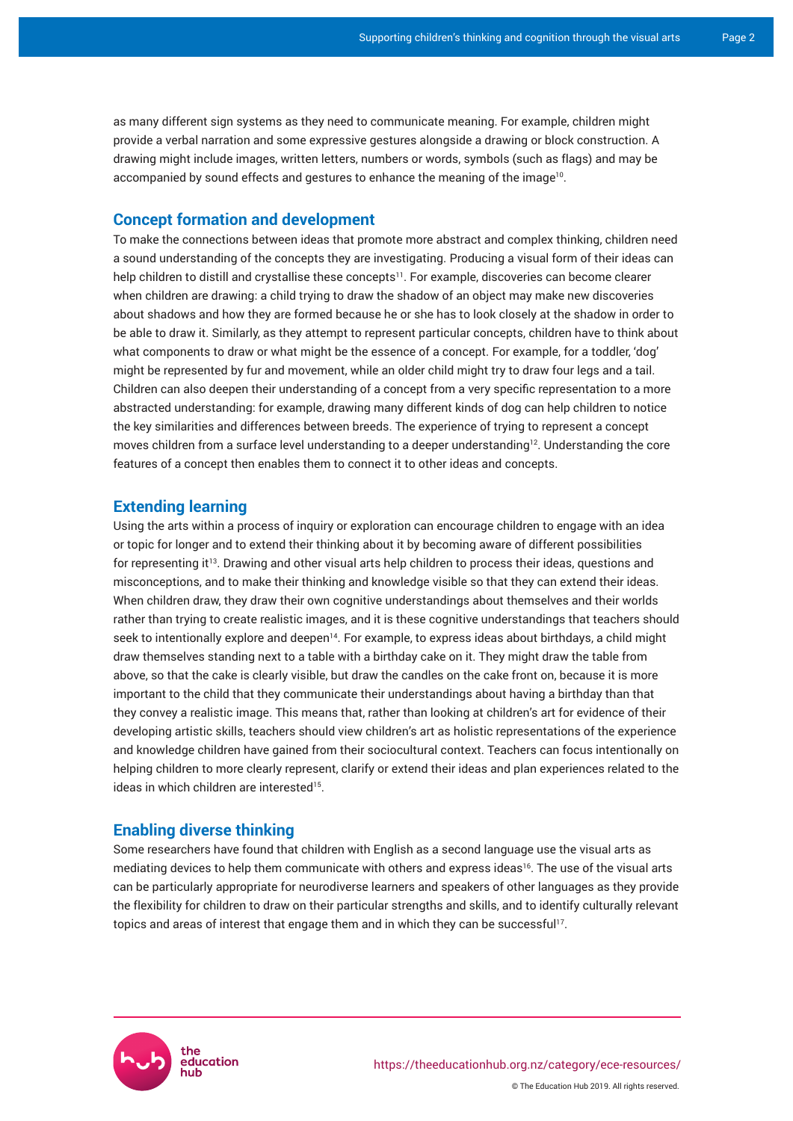as many different sign systems as they need to communicate meaning. For example, children might provide a verbal narration and some expressive gestures alongside a drawing or block construction. A drawing might include images, written letters, numbers or words, symbols (such as flags) and may be accompanied by sound effects and gestures to enhance the meaning of the image $^{10}$ .

## **Concept formation and development**

To make the connections between ideas that promote more abstract and complex thinking, children need a sound understanding of the concepts they are investigating. Producing a visual form of their ideas can help children to distill and crystallise these concepts<sup>11</sup>. For example, discoveries can become clearer when children are drawing: a child trying to draw the shadow of an object may make new discoveries about shadows and how they are formed because he or she has to look closely at the shadow in order to be able to draw it. Similarly, as they attempt to represent particular concepts, children have to think about what components to draw or what might be the essence of a concept. For example, for a toddler, 'dog' might be represented by fur and movement, while an older child might try to draw four legs and a tail. Children can also deepen their understanding of a concept from a very specific representation to a more abstracted understanding: for example, drawing many different kinds of dog can help children to notice the key similarities and differences between breeds. The experience of trying to represent a concept moves children from a surface level understanding to a deeper understanding<sup>12</sup>. Understanding the core features of a concept then enables them to connect it to other ideas and concepts.

## **Extending learning**

Using the arts within a process of inquiry or exploration can encourage children to engage with an idea or topic for longer and to extend their thinking about it by becoming aware of different possibilities for representing it<sup>13</sup>. Drawing and other visual arts help children to process their ideas, questions and misconceptions, and to make their thinking and knowledge visible so that they can extend their ideas. When children draw, they draw their own cognitive understandings about themselves and their worlds rather than trying to create realistic images, and it is these cognitive understandings that teachers should seek to intentionally explore and deepen<sup>14</sup>. For example, to express ideas about birthdays, a child might draw themselves standing next to a table with a birthday cake on it. They might draw the table from above, so that the cake is clearly visible, but draw the candles on the cake front on, because it is more important to the child that they communicate their understandings about having a birthday than that they convey a realistic image. This means that, rather than looking at children's art for evidence of their developing artistic skills, teachers should view children's art as holistic representations of the experience and knowledge children have gained from their sociocultural context. Teachers can focus intentionally on helping children to more clearly represent, clarify or extend their ideas and plan experiences related to the ideas in which children are interested<sup>15</sup> .

# **Enabling diverse thinking**

Some researchers have found that children with English as a second language use the visual arts as mediating devices to help them communicate with others and express ideas<sup>16</sup>. The use of the visual arts can be particularly appropriate for neurodiverse learners and speakers of other languages as they provide the flexibility for children to draw on their particular strengths and skills, and to identify culturally relevant topics and areas of interest that engage them and in which they can be successful'<sup>7</sup>.

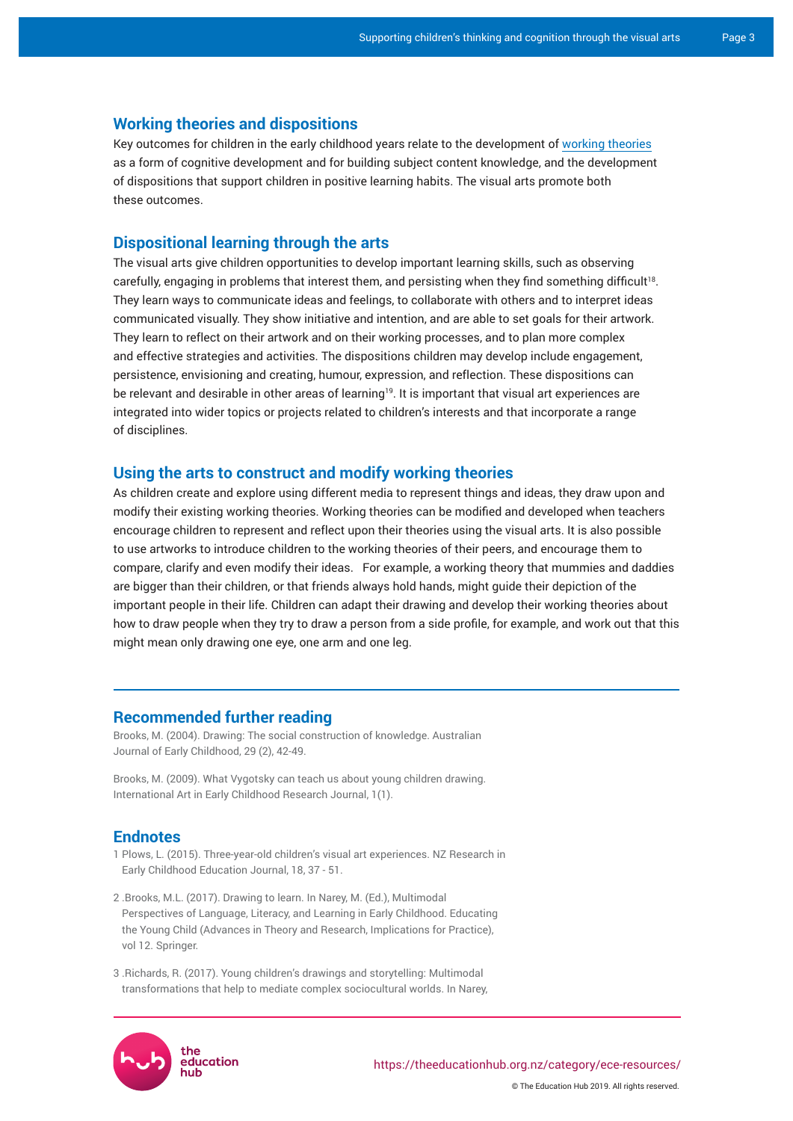# **Working theories and dispositions**

Key outcomes for children in the early childhood years relate to the development of [working theories](https://theeducationhub.org.nz/working-theories/) as a form of cognitive development and for building subject content knowledge, and the development of dispositions that support children in positive learning habits. The visual arts promote both these outcomes.

### **Dispositional learning through the arts**

The visual arts give children opportunities to develop important learning skills, such as observing carefully, engaging in problems that interest them, and persisting when they find something difficult<sup>18</sup>. They learn ways to communicate ideas and feelings, to collaborate with others and to interpret ideas communicated visually. They show initiative and intention, and are able to set goals for their artwork. They learn to reflect on their artwork and on their working processes, and to plan more complex and effective strategies and activities. The dispositions children may develop include engagement, persistence, envisioning and creating, humour, expression, and reflection. These dispositions can be relevant and desirable in other areas of learning<sup>19</sup>. It is important that visual art experiences are integrated into wider topics or projects related to children's interests and that incorporate a range of disciplines.

#### **Using the arts to construct and modify working theories**

As children create and explore using different media to represent things and ideas, they draw upon and modify their existing working theories. Working theories can be modified and developed when teachers encourage children to represent and reflect upon their theories using the visual arts. It is also possible to use artworks to introduce children to the working theories of their peers, and encourage them to compare, clarify and even modify their ideas. For example, a working theory that mummies and daddies are bigger than their children, or that friends always hold hands, might guide their depiction of the important people in their life. Children can adapt their drawing and develop their working theories about how to draw people when they try to draw a person from a side profile, for example, and work out that this might mean only drawing one eye, one arm and one leg.

#### **Recommended further reading**

Brooks, M. (2004). Drawing: The social construction of knowledge. Australian Journal of Early Childhood, 29 (2), 42-49.

Brooks, M. (2009). [What Vygotsky can teach us about young children drawing.](https://artinearlychildhood.org/artec/images/article/ARTEC_2009_Research_Journal_1_Article_1.pdf) International Art in Early Childhood Research Journal, 1(1).

#### **Endnotes**

- 1 Plows, L. (2015). Three-year-old children's visual art experiences. NZ Research in Early Childhood Education Journal, 18, 37 - 51.
- 2 .Brooks, M.L. (2017). Drawing to learn. In Narey, M. (Ed.), Multimodal Perspectives of Language, Literacy, and Learning in Early Childhood. Educating the Young Child (Advances in Theory and Research, Implications for Practice), vol 12. Springer.
- 3 .Richards, R. (2017). Young children's drawings and storytelling: Multimodal transformations that help to mediate complex sociocultural worlds. In Narey,



© The Education Hub 2019. All rights reserved.